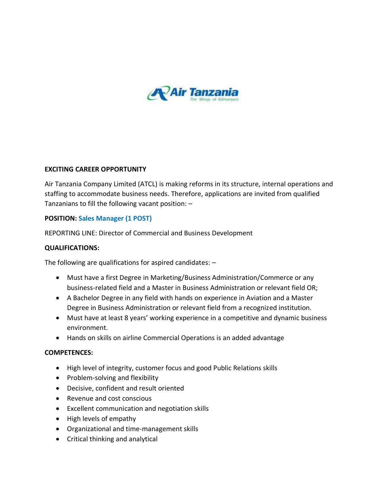

#### **EXCITING CAREER OPPORTUNITY**

Air Tanzania Company Limited (ATCL) is making reforms in its structure, internal operations and staffing to accommodate business needs. Therefore, applications are invited from qualified Tanzanians to fill the following vacant position: –

## **POSITION: Sales Manager (1 POST)**

REPORTING LINE: Director of Commercial and Business Development

#### **QUALIFICATIONS:**

The following are qualifications for aspired candidates: –

- Must have a first Degree in Marketing/Business Administration/Commerce or any business-related field and a Master in Business Administration or relevant field OR;
- A Bachelor Degree in any field with hands on experience in Aviation and a Master Degree in Business Administration or relevant field from a recognized institution.
- Must have at least 8 years' working experience in a competitive and dynamic business environment.
- Hands on skills on airline Commercial Operations is an added advantage

#### **COMPETENCES:**

- High level of integrity, customer focus and good Public Relations skills
- Problem-solving and flexibility
- Decisive, confident and result oriented
- Revenue and cost conscious
- Excellent communication and negotiation skills
- High levels of empathy
- Organizational and time-management skills
- Critical thinking and analytical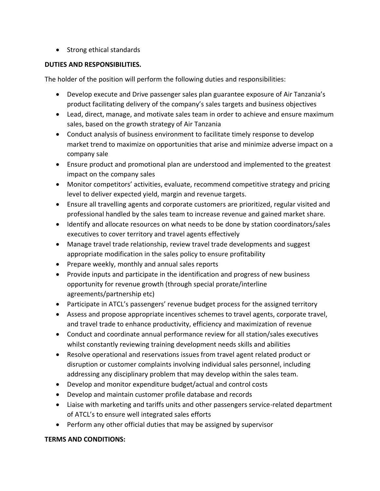• Strong ethical standards

## **DUTIES AND RESPONSIBILITIES.**

The holder of the position will perform the following duties and responsibilities:

- Develop execute and Drive passenger sales plan guarantee exposure of Air Tanzania's product facilitating delivery of the company's sales targets and business objectives
- Lead, direct, manage, and motivate sales team in order to achieve and ensure maximum sales, based on the growth strategy of Air Tanzania
- Conduct analysis of business environment to facilitate timely response to develop market trend to maximize on opportunities that arise and minimize adverse impact on a company sale
- Ensure product and promotional plan are understood and implemented to the greatest impact on the company sales
- Monitor competitors' activities, evaluate, recommend competitive strategy and pricing level to deliver expected yield, margin and revenue targets.
- Ensure all travelling agents and corporate customers are prioritized, regular visited and professional handled by the sales team to increase revenue and gained market share.
- Identify and allocate resources on what needs to be done by station coordinators/sales executives to cover territory and travel agents effectively
- Manage travel trade relationship, review travel trade developments and suggest appropriate modification in the sales policy to ensure profitability
- Prepare weekly, monthly and annual sales reports
- Provide inputs and participate in the identification and progress of new business opportunity for revenue growth (through special prorate/interline agreements/partnership etc)
- Participate in ATCL's passengers' revenue budget process for the assigned territory
- Assess and propose appropriate incentives schemes to travel agents, corporate travel, and travel trade to enhance productivity, efficiency and maximization of revenue
- Conduct and coordinate annual performance review for all station/sales executives whilst constantly reviewing training development needs skills and abilities
- Resolve operational and reservations issues from travel agent related product or disruption or customer complaints involving individual sales personnel, including addressing any disciplinary problem that may develop within the sales team.
- Develop and monitor expenditure budget/actual and control costs
- Develop and maintain customer profile database and records
- Liaise with marketing and tariffs units and other passengers service-related department of ATCL's to ensure well integrated sales efforts
- Perform any other official duties that may be assigned by supervisor

# **TERMS AND CONDITIONS:**